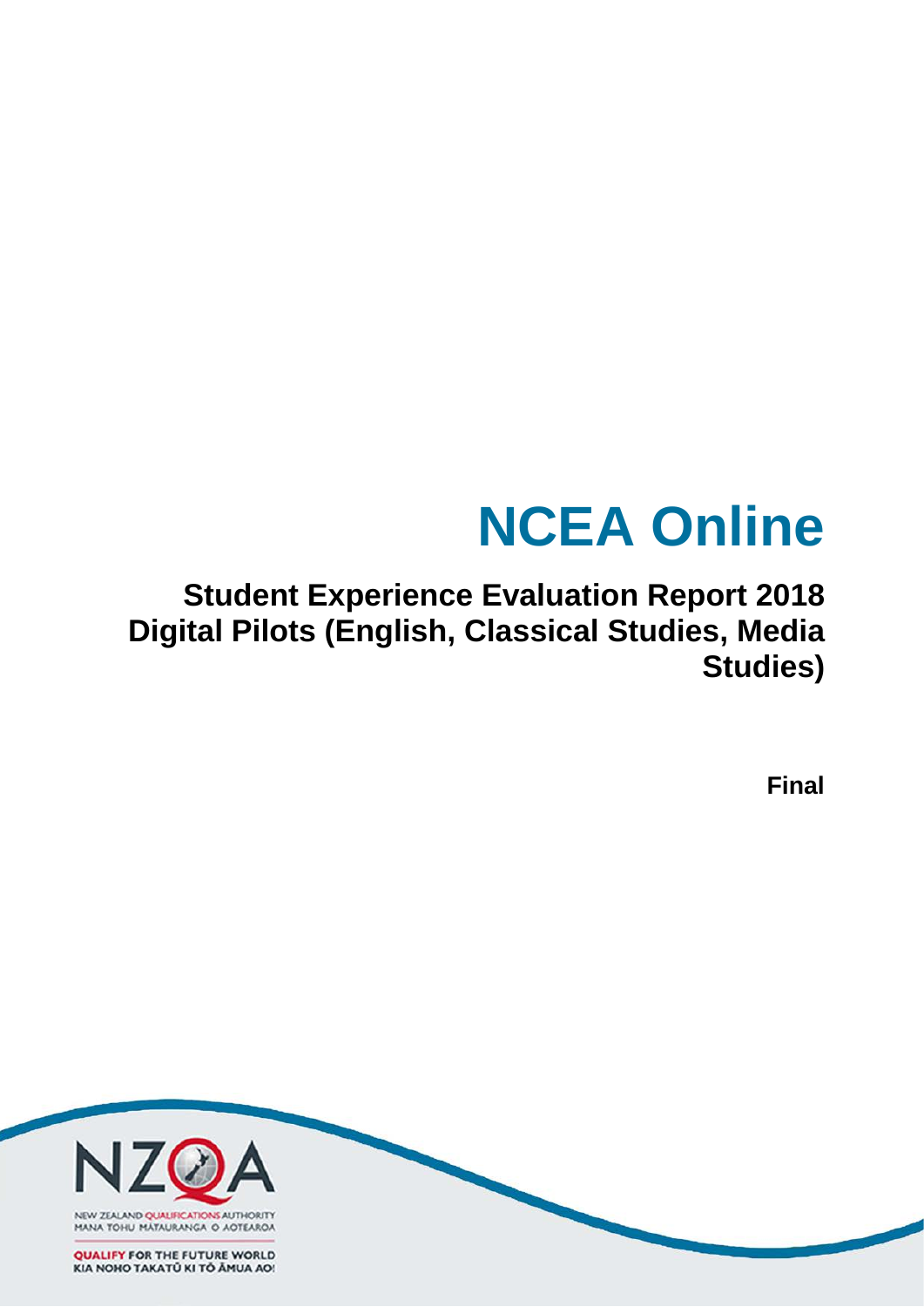# **NCEA Online**

## **Student Experience Evaluation Report 2018 Digital Pilots (English, Classical Studies, Media Studies)**

**Final**

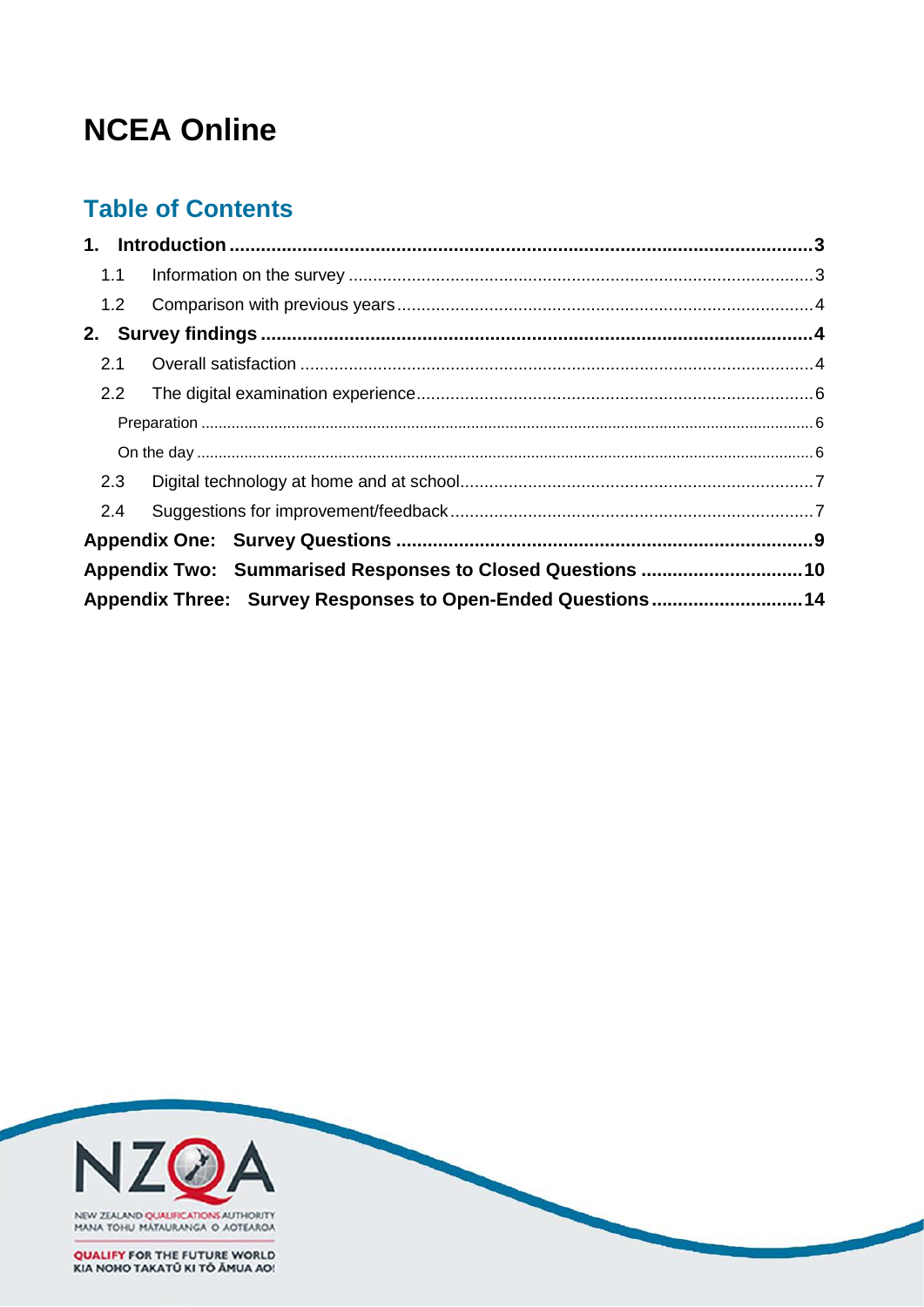# **NCEA Online**

## **Table of Contents**

|     | 1.1 |                                                            |  |
|-----|-----|------------------------------------------------------------|--|
|     | 1.2 |                                                            |  |
|     |     |                                                            |  |
| 2.1 |     |                                                            |  |
| 2.2 |     |                                                            |  |
|     |     |                                                            |  |
|     |     |                                                            |  |
| 2.3 |     |                                                            |  |
| 2.4 |     |                                                            |  |
|     |     |                                                            |  |
|     |     | Appendix Two: Summarised Responses to Closed Questions 10  |  |
|     |     | Appendix Three: Survey Responses to Open-Ended Questions14 |  |

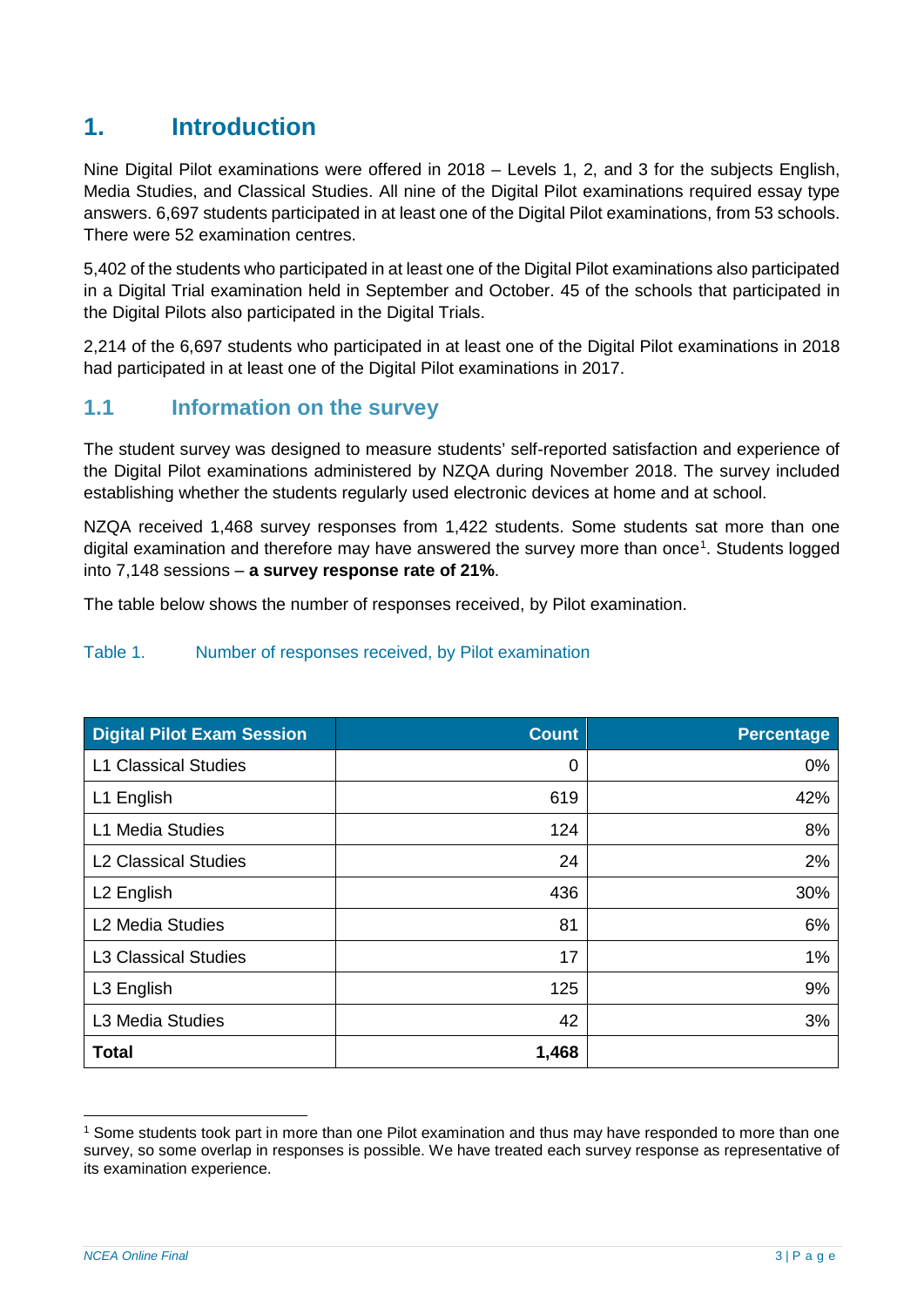## <span id="page-2-0"></span>**1. Introduction**

Nine Digital Pilot examinations were offered in 2018 – Levels 1, 2, and 3 for the subjects English, Media Studies, and Classical Studies. All nine of the Digital Pilot examinations required essay type answers. 6,697 students participated in at least one of the Digital Pilot examinations, from 53 schools. There were 52 examination centres.

5,402 of the students who participated in at least one of the Digital Pilot examinations also participated in a Digital Trial examination held in September and October. 45 of the schools that participated in the Digital Pilots also participated in the Digital Trials.

2,214 of the 6,697 students who participated in at least one of the Digital Pilot examinations in 2018 had participated in at least one of the Digital Pilot examinations in 2017.

#### <span id="page-2-1"></span>**1.1 Information on the survey**

The student survey was designed to measure students' self-reported satisfaction and experience of the Digital Pilot examinations administered by NZQA during November 2018. The survey included establishing whether the students regularly used electronic devices at home and at school.

NZQA received 1,468 survey responses from 1,422 students. Some students sat more than one digital examination and therefore may have answered the survey more than once<sup>[1](#page-2-2)</sup>. Students logged into 7,148 sessions ‒ **a survey response rate of 21%**.

The table below shows the number of responses received, by Pilot examination.

#### Table 1. Number of responses received, by Pilot examination

| <b>Digital Pilot Exam Session</b> | <b>Count</b> | <b>Percentage</b> |
|-----------------------------------|--------------|-------------------|
| <b>L1 Classical Studies</b>       | 0            | 0%                |
| L1 English                        | 619          | 42%               |
| L1 Media Studies                  | 124          | 8%                |
| <b>L2 Classical Studies</b>       | 24           | 2%                |
| L <sub>2</sub> English            | 436          | 30%               |
| L <sub>2</sub> Media Studies      | 81           | 6%                |
| <b>L3 Classical Studies</b>       | 17           | 1%                |
| L3 English                        | 125          | 9%                |
| L3 Media Studies                  | 42           | 3%                |
| <b>Total</b>                      | 1,468        |                   |

<span id="page-2-2"></span> <sup>1</sup> Some students took part in more than one Pilot examination and thus may have responded to more than one survey, so some overlap in responses is possible. We have treated each survey response as representative of its examination experience.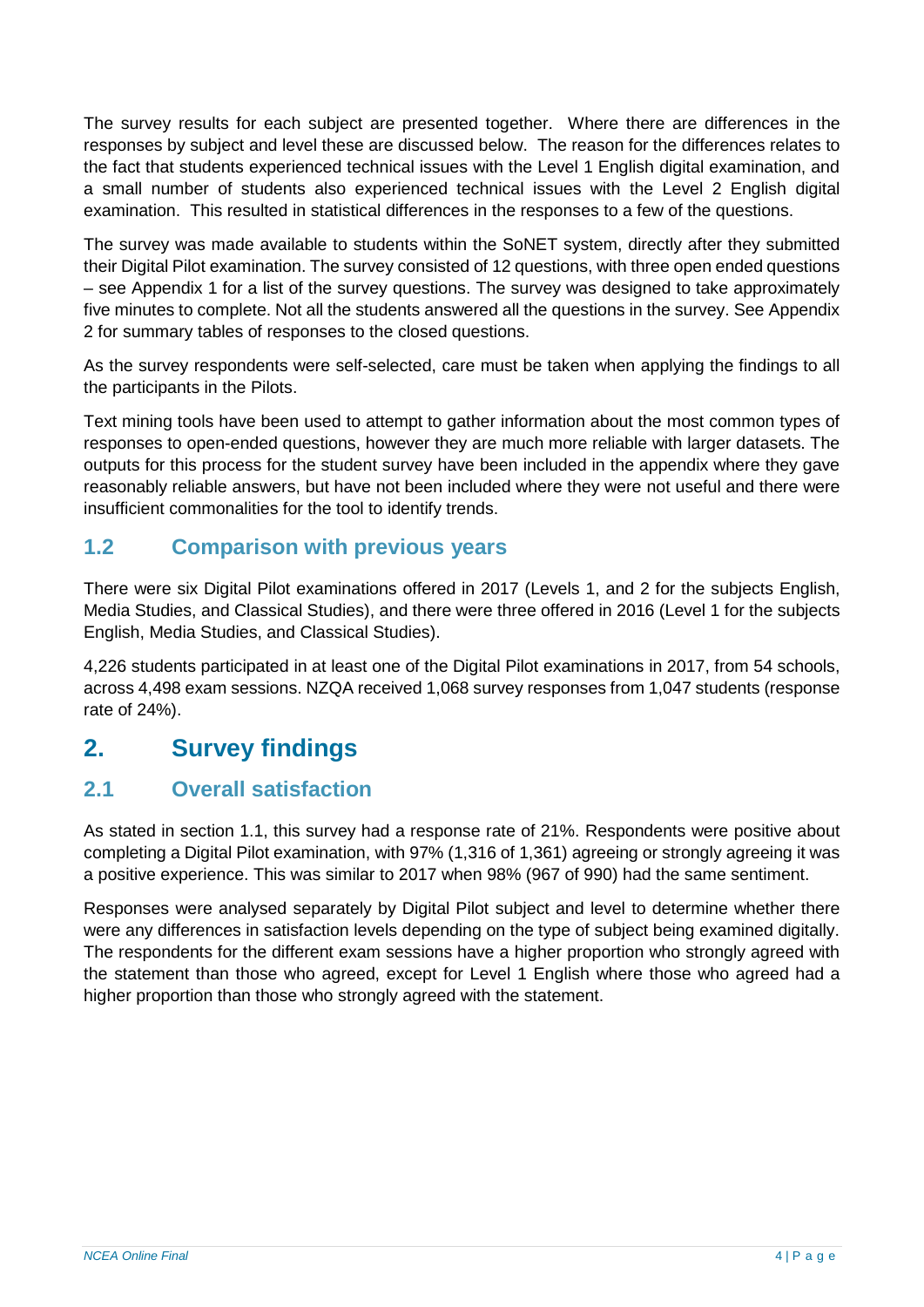The survey results for each subject are presented together. Where there are differences in the responses by subject and level these are discussed below. The reason for the differences relates to the fact that students experienced technical issues with the Level 1 English digital examination, and a small number of students also experienced technical issues with the Level 2 English digital examination. This resulted in statistical differences in the responses to a few of the questions.

The survey was made available to students within the SoNET system, directly after they submitted their Digital Pilot examination. The survey consisted of 12 questions, with three open ended questions – see Appendix 1 for a list of the survey questions. The survey was designed to take approximately five minutes to complete. Not all the students answered all the questions in the survey. See Appendix 2 for summary tables of responses to the closed questions.

As the survey respondents were self-selected, care must be taken when applying the findings to all the participants in the Pilots.

Text mining tools have been used to attempt to gather information about the most common types of responses to open-ended questions, however they are much more reliable with larger datasets. The outputs for this process for the student survey have been included in the appendix where they gave reasonably reliable answers, but have not been included where they were not useful and there were insufficient commonalities for the tool to identify trends.

## <span id="page-3-0"></span>**1.2 Comparison with previous years**

There were six Digital Pilot examinations offered in 2017 (Levels 1, and 2 for the subjects English, Media Studies, and Classical Studies), and there were three offered in 2016 (Level 1 for the subjects English, Media Studies, and Classical Studies).

4,226 students participated in at least one of the Digital Pilot examinations in 2017, from 54 schools, across 4,498 exam sessions. NZQA received 1,068 survey responses from 1,047 students (response rate of 24%).

## <span id="page-3-1"></span>**2. Survey findings**

## <span id="page-3-2"></span>**2.1 Overall satisfaction**

As stated in section 1.1, this survey had a response rate of 21%. Respondents were positive about completing a Digital Pilot examination, with 97% (1,316 of 1,361) agreeing or strongly agreeing it was a positive experience. This was similar to 2017 when 98% (967 of 990) had the same sentiment.

Responses were analysed separately by Digital Pilot subject and level to determine whether there were any differences in satisfaction levels depending on the type of subject being examined digitally. The respondents for the different exam sessions have a higher proportion who strongly agreed with the statement than those who agreed, except for Level 1 English where those who agreed had a higher proportion than those who strongly agreed with the statement.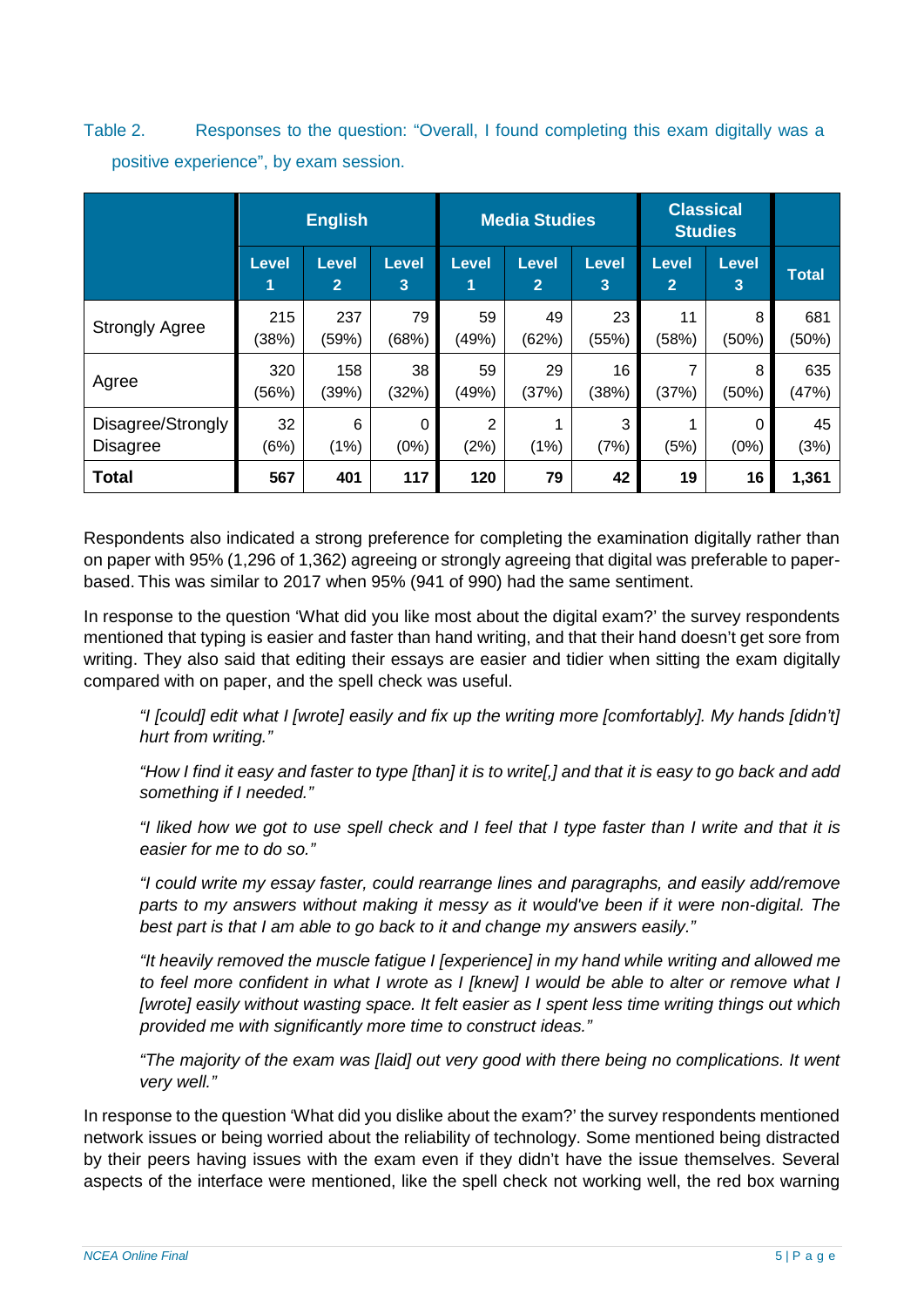Table 2. Responses to the question: "Overall, I found completing this exam digitally was a positive experience", by exam session.

|                       |                   | <b>English</b>                 |                   | <b>Classical</b><br><b>Media Studies</b><br><b>Studies</b> |                                |                   |                                |            |              |
|-----------------------|-------------------|--------------------------------|-------------------|------------------------------------------------------------|--------------------------------|-------------------|--------------------------------|------------|--------------|
|                       | <b>Level</b><br>1 | <b>Level</b><br>$\overline{2}$ | <b>Level</b><br>3 | <b>Level</b><br>1                                          | <b>Level</b><br>$\overline{2}$ | <b>Level</b><br>3 | <b>Level</b><br>$\overline{2}$ | Level<br>3 | <b>Total</b> |
| <b>Strongly Agree</b> | 215               | 237                            | 79                | 59                                                         | 49                             | 23                | 11                             | 8          | 681          |
|                       | (38%)             | (59%)                          | (68%)             | (49%)                                                      | (62%)                          | (55%)             | (58%)                          | (50%)      | (50%)        |
| Agree                 | 320               | 158                            | 38                | 59                                                         | 29                             | 16 <sup>1</sup>   | 7                              | 8          | 635          |
|                       | (56%)             | (39%)                          | (32%)             | (49%)                                                      | (37%)                          | (38%)             | (37%)                          | (50%)      | (47%)        |
| Disagree/Strongly     | 32                | 6                              | 0                 | $\overline{2}$                                             | (1%)                           | 3                 | 1                              | $\Omega$   | 45           |
| <b>Disagree</b>       | (6%)              | (1%)                           | (0%)              | (2%)                                                       |                                | (7%)              | (5%)                           | (0%)       | (3%)         |
| <b>Total</b>          | 567               | 401                            | 117               | 120                                                        | 79                             | 42                | 19                             | 16         | 1,361        |

Respondents also indicated a strong preference for completing the examination digitally rather than on paper with 95% (1,296 of 1,362) agreeing or strongly agreeing that digital was preferable to paperbased. This was similar to 2017 when 95% (941 of 990) had the same sentiment.

In response to the question 'What did you like most about the digital exam?' the survey respondents mentioned that typing is easier and faster than hand writing, and that their hand doesn't get sore from writing. They also said that editing their essays are easier and tidier when sitting the exam digitally compared with on paper, and the spell check was useful.

*"I [could] edit what I [wrote] easily and fix up the writing more [comfortably]. My hands [didn't] hurt from writing."*

"How I find it easy and faster to type [than] it is to write[,] and that it is easy to go back and add *something if I needed."*

"I liked how we got to use spell check and I feel that I type faster than I write and that it is *easier for me to do so."*

*"I could write my essay faster, could rearrange lines and paragraphs, and easily add/remove parts to my answers without making it messy as it would've been if it were non-digital. The best part is that I am able to go back to it and change my answers easily."*

*"It heavily removed the muscle fatigue I [experience] in my hand while writing and allowed me* to feel more confident in what I wrote as I [knew] I would be able to alter or remove what I *[wrote] easily without wasting space. It felt easier as I spent less time writing things out which provided me with significantly more time to construct ideas."*

*"The majority of the exam was [laid] out very good with there being no complications. It went very well."*

In response to the question 'What did you dislike about the exam?' the survey respondents mentioned network issues or being worried about the reliability of technology. Some mentioned being distracted by their peers having issues with the exam even if they didn't have the issue themselves. Several aspects of the interface were mentioned, like the spell check not working well, the red box warning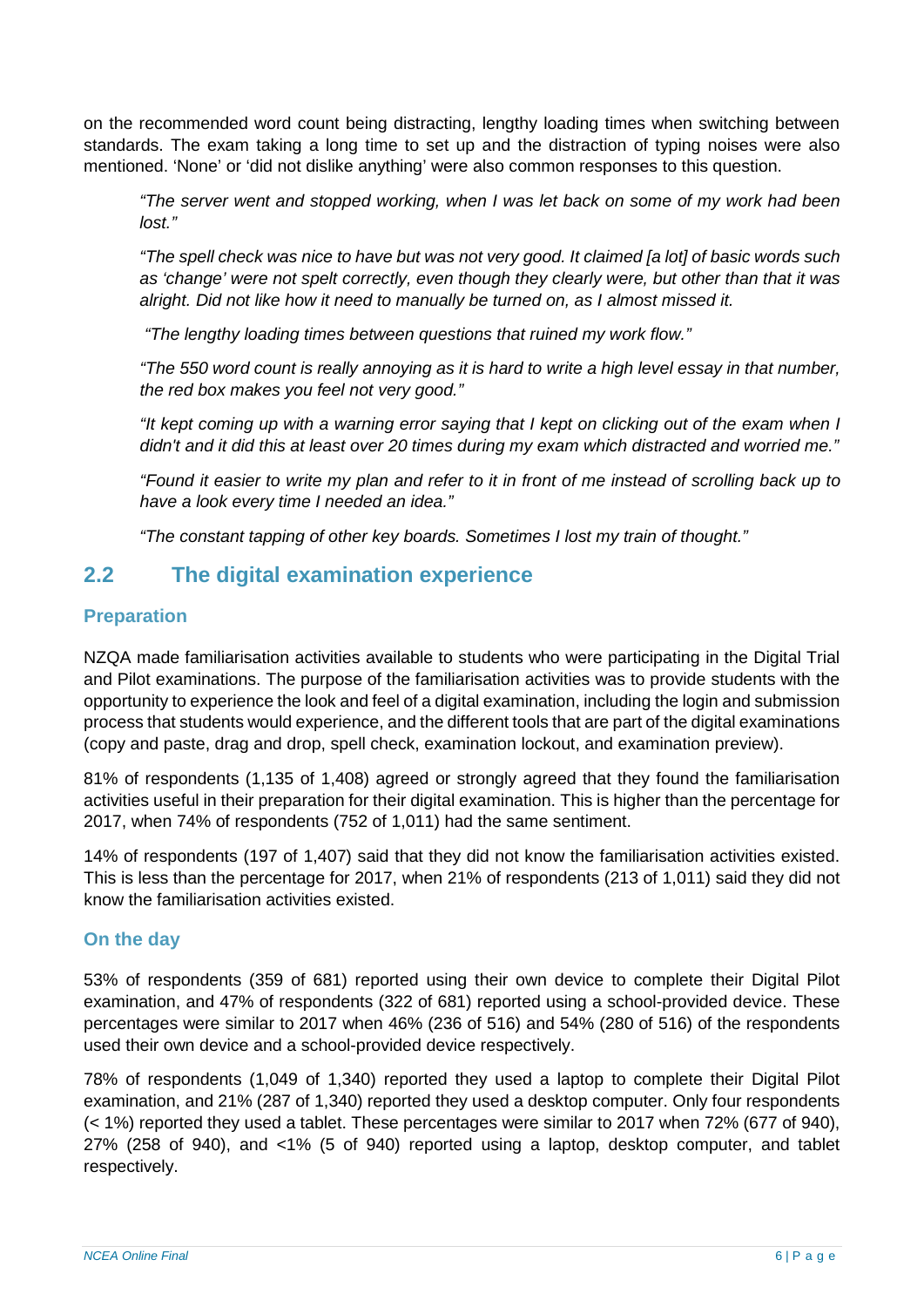on the recommended word count being distracting, lengthy loading times when switching between standards. The exam taking a long time to set up and the distraction of typing noises were also mentioned. 'None' or 'did not dislike anything' were also common responses to this question.

*"The server went and stopped working, when I was let back on some of my work had been lost."* 

"The spell check was nice to have but was not very good. It claimed [a lot] of basic words such *as 'change' were not spelt correctly, even though they clearly were, but other than that it was alright. Did not like how it need to manually be turned on, as I almost missed it.*

*"The lengthy loading times between questions that ruined my work flow."*

"The 550 word count is really annoying as it is hard to write a high level essay in that number, *the red box makes you feel not very good."*

"It kept coming up with a warning error saying that I kept on clicking out of the exam when I *didn't and it did this at least over 20 times during my exam which distracted and worried me."* 

"Found it easier to write my plan and refer to it in front of me instead of scrolling back up to *have a look every time I needed an idea."*

*"The constant tapping of other key boards. Sometimes I lost my train of thought."*

## <span id="page-5-0"></span>**2.2 The digital examination experience**

#### <span id="page-5-1"></span>**Preparation**

NZQA made familiarisation activities available to students who were participating in the Digital Trial and Pilot examinations. The purpose of the familiarisation activities was to provide students with the opportunity to experience the look and feel of a digital examination, including the login and submission process that students would experience, and the different tools that are part of the digital examinations (copy and paste, drag and drop, spell check, examination lockout, and examination preview).

81% of respondents (1,135 of 1,408) agreed or strongly agreed that they found the familiarisation activities useful in their preparation for their digital examination. This is higher than the percentage for 2017, when 74% of respondents (752 of 1,011) had the same sentiment.

14% of respondents (197 of 1,407) said that they did not know the familiarisation activities existed. This is less than the percentage for 2017, when 21% of respondents (213 of 1,011) said they did not know the familiarisation activities existed.

#### <span id="page-5-2"></span>**On the day**

53% of respondents (359 of 681) reported using their own device to complete their Digital Pilot examination, and 47% of respondents (322 of 681) reported using a school-provided device. These percentages were similar to 2017 when 46% (236 of 516) and 54% (280 of 516) of the respondents used their own device and a school-provided device respectively.

78% of respondents (1,049 of 1,340) reported they used a laptop to complete their Digital Pilot examination, and 21% (287 of 1,340) reported they used a desktop computer. Only four respondents (< 1%) reported they used a tablet. These percentages were similar to 2017 when 72% (677 of 940), 27% (258 of 940), and <1% (5 of 940) reported using a laptop, desktop computer, and tablet respectively.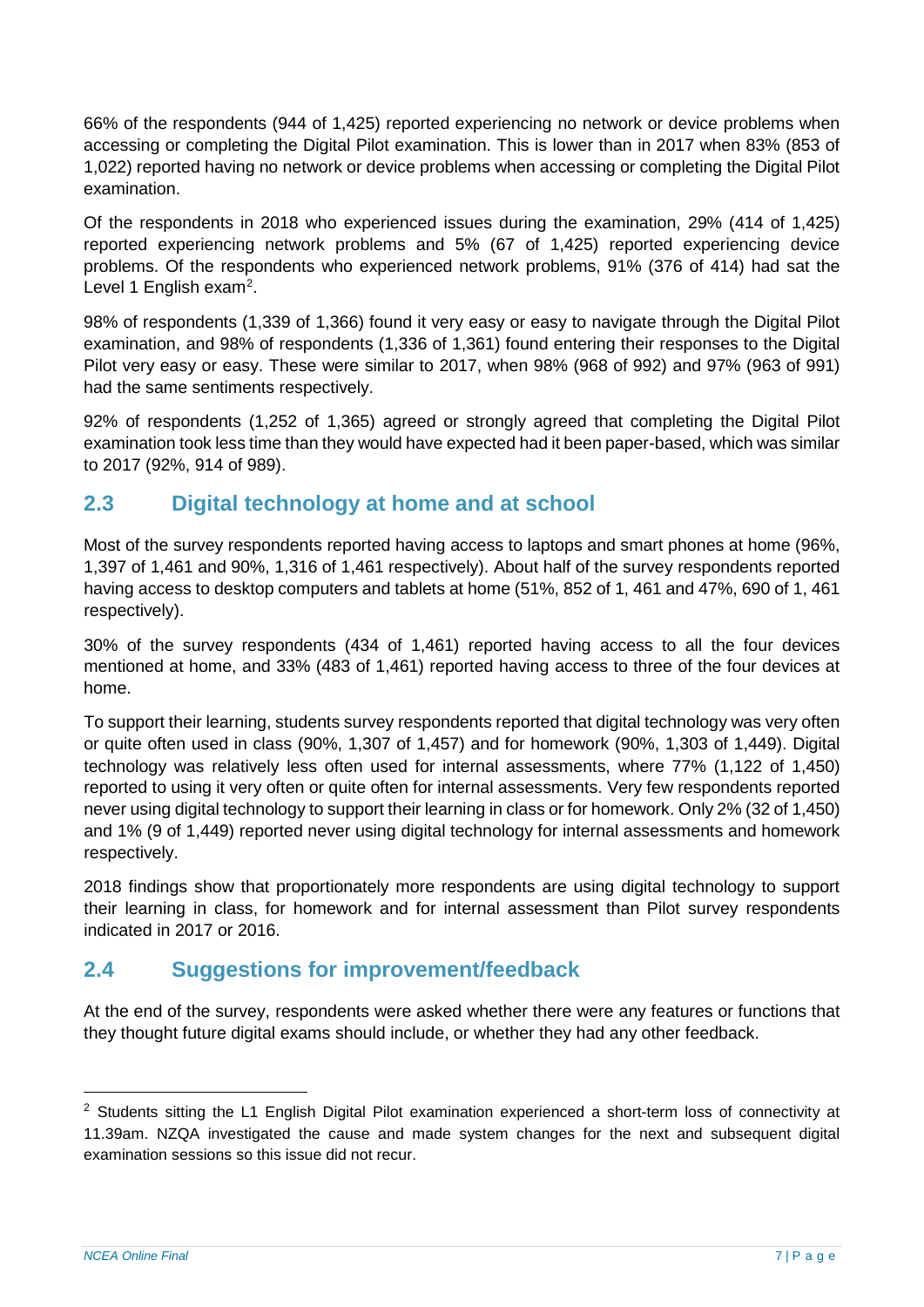66% of the respondents (944 of 1,425) reported experiencing no network or device problems when accessing or completing the Digital Pilot examination. This is lower than in 2017 when 83% (853 of 1,022) reported having no network or device problems when accessing or completing the Digital Pilot examination.

Of the respondents in 2018 who experienced issues during the examination, 29% (414 of 1,425) reported experiencing network problems and 5% (67 of 1,425) reported experiencing device problems. Of the respondents who experienced network problems, 91% (376 of 414) had sat the Level 1 English exam<sup>[2](#page-6-2)</sup>.

98% of respondents (1,339 of 1,366) found it very easy or easy to navigate through the Digital Pilot examination, and 98% of respondents (1,336 of 1,361) found entering their responses to the Digital Pilot very easy or easy. These were similar to 2017, when 98% (968 of 992) and 97% (963 of 991) had the same sentiments respectively.

92% of respondents (1,252 of 1,365) agreed or strongly agreed that completing the Digital Pilot examination took less time than they would have expected had it been paper-based, which was similar to 2017 (92%, 914 of 989).

## <span id="page-6-0"></span>**2.3 Digital technology at home and at school**

Most of the survey respondents reported having access to laptops and smart phones at home (96%, 1,397 of 1,461 and 90%, 1,316 of 1,461 respectively). About half of the survey respondents reported having access to desktop computers and tablets at home (51%, 852 of 1, 461 and 47%, 690 of 1, 461 respectively).

30% of the survey respondents (434 of 1,461) reported having access to all the four devices mentioned at home, and 33% (483 of 1,461) reported having access to three of the four devices at home.

To support their learning, students survey respondents reported that digital technology was very often or quite often used in class (90%, 1,307 of 1,457) and for homework (90%, 1,303 of 1,449). Digital technology was relatively less often used for internal assessments, where 77% (1,122 of 1,450) reported to using it very often or quite often for internal assessments. Very few respondents reported never using digital technology to support their learning in class or for homework. Only 2% (32 of 1,450) and 1% (9 of 1,449) reported never using digital technology for internal assessments and homework respectively.

2018 findings show that proportionately more respondents are using digital technology to support their learning in class, for homework and for internal assessment than Pilot survey respondents indicated in 2017 or 2016.

## <span id="page-6-1"></span>**2.4 Suggestions for improvement/feedback**

At the end of the survey, respondents were asked whether there were any features or functions that they thought future digital exams should include, or whether they had any other feedback.

<span id="page-6-2"></span><sup>&</sup>lt;sup>2</sup> Students sitting the L1 English Digital Pilot examination experienced a short-term loss of connectivity at 11.39am. NZQA investigated the cause and made system changes for the next and subsequent digital examination sessions so this issue did not recur.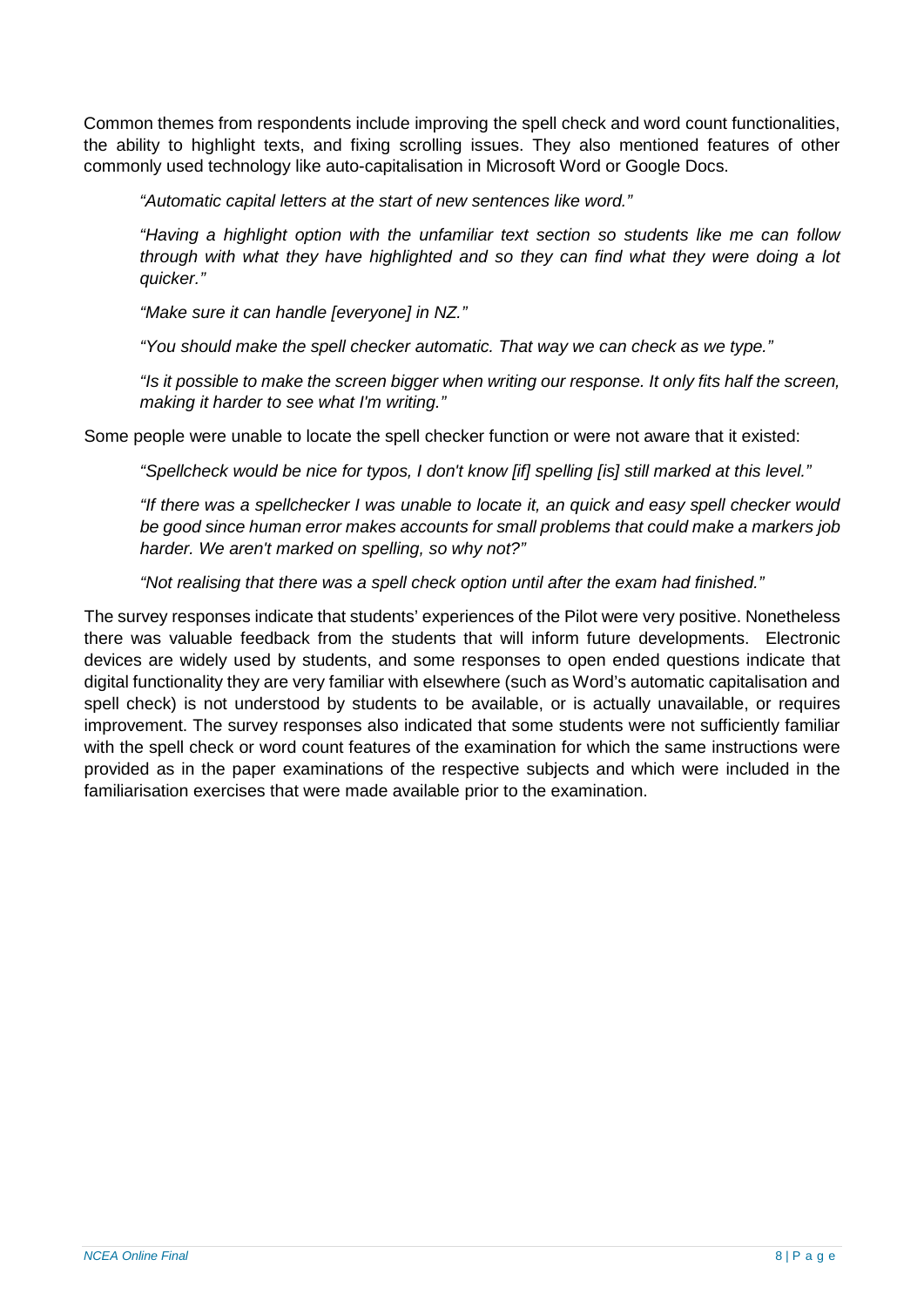Common themes from respondents include improving the spell check and word count functionalities, the ability to highlight texts, and fixing scrolling issues. They also mentioned features of other commonly used technology like auto-capitalisation in Microsoft Word or Google Docs.

*"Automatic capital letters at the start of new sentences like word."*

*"Having a highlight option with the unfamiliar text section so students like me can follow through with what they have highlighted and so they can find what they were doing a lot quicker."*

*"Make sure it can handle [everyone] in NZ."*

*"You should make the spell checker automatic. That way we can check as we type."*

*"Is it possible to make the screen bigger when writing our response. It only fits half the screen, making it harder to see what I'm writing."*

Some people were unable to locate the spell checker function or were not aware that it existed:

*"Spellcheck would be nice for typos, I don't know [if] spelling [is] still marked at this level."*

*"If there was a spellchecker I was unable to locate it, an quick and easy spell checker would be good since human error makes accounts for small problems that could make a markers job harder. We aren't marked on spelling, so why not?"*

*"Not realising that there was a spell check option until after the exam had finished."*

The survey responses indicate that students' experiences of the Pilot were very positive. Nonetheless there was valuable feedback from the students that will inform future developments. Electronic devices are widely used by students, and some responses to open ended questions indicate that digital functionality they are very familiar with elsewhere (such as Word's automatic capitalisation and spell check) is not understood by students to be available, or is actually unavailable, or requires improvement. The survey responses also indicated that some students were not sufficiently familiar with the spell check or word count features of the examination for which the same instructions were provided as in the paper examinations of the respective subjects and which were included in the familiarisation exercises that were made available prior to the examination.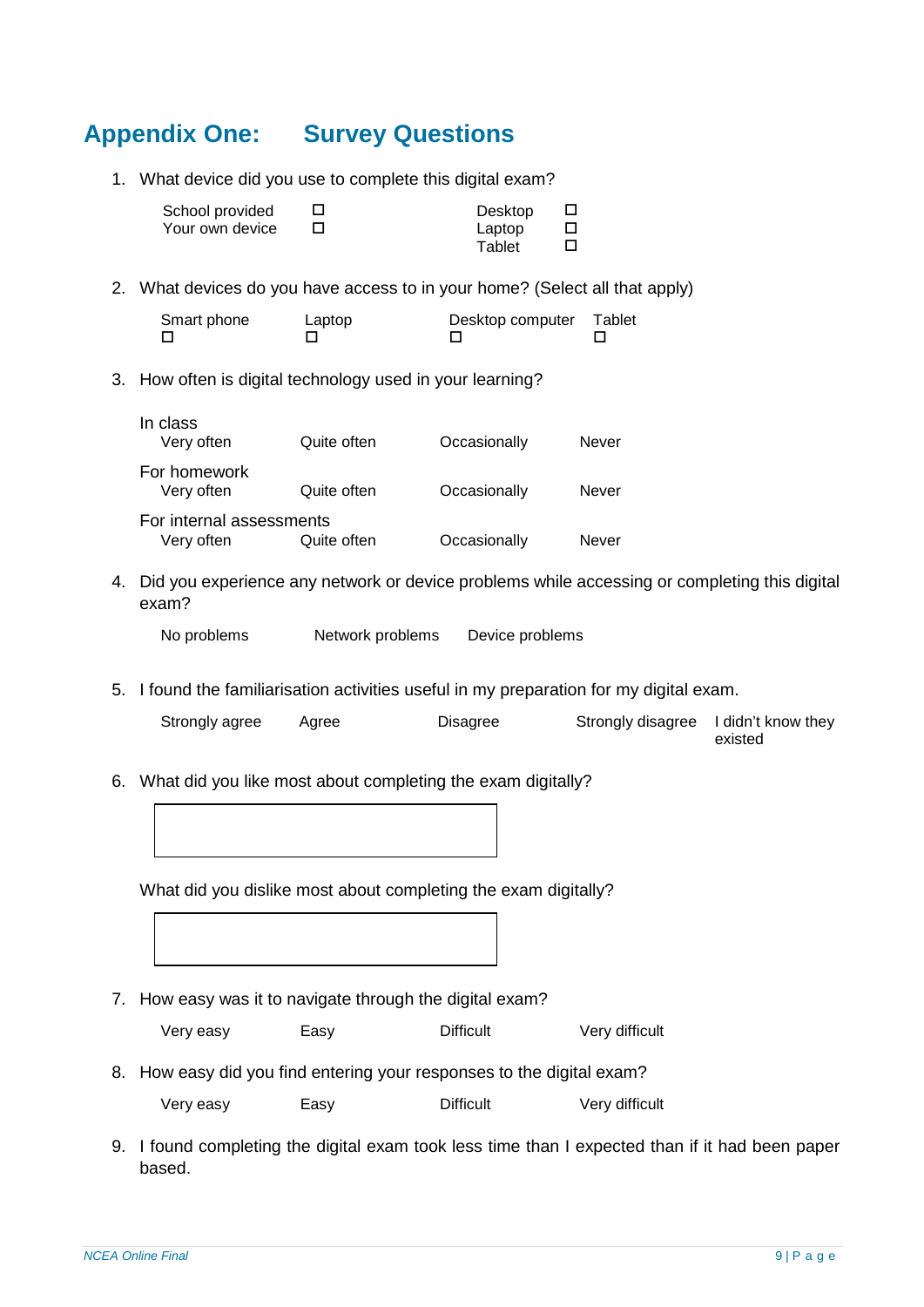## <span id="page-8-0"></span>**Appendix One: Survey Questions**

1. What device did you use to complete this digital exam?

| School provided | Desktop |  |
|-----------------|---------|--|
| Your own device | Laptop  |  |
|                 | Tablet  |  |

2. What devices do you have access to in your home? (Select all that apply)

| Smart phone | Laptop | Desktop computer Tablet |  |
|-------------|--------|-------------------------|--|
|             |        |                         |  |

3. How often is digital technology used in your learning?

| In class<br>Very often                 | Quite often | Occasionally | Never |
|----------------------------------------|-------------|--------------|-------|
| For homework<br>Very often             | Quite often | Occasionally | Never |
| For internal assessments<br>Very often | Quite often | Occasionally | Never |

4. Did you experience any network or device problems while accessing or completing this digital exam?

No problems Network problems Device problems

5. I found the familiarisation activities useful in my preparation for my digital exam.

| Strongly agree | Aaree | <b>Disagree</b> | Strongly disagree I didn't know they |
|----------------|-------|-----------------|--------------------------------------|
|                |       |                 | existed                              |

6. What did you like most about completing the exam digitally?



What did you dislike most about completing the exam digitally?

7. How easy was it to navigate through the digital exam?

| Very easy | Easy | <b>Difficult</b> | Very difficult |
|-----------|------|------------------|----------------|
|-----------|------|------------------|----------------|

- 8. How easy did you find entering your responses to the digital exam?
	- Very easy Easy Difficult Very difficult
- 9. I found completing the digital exam took less time than I expected than if it had been paper based.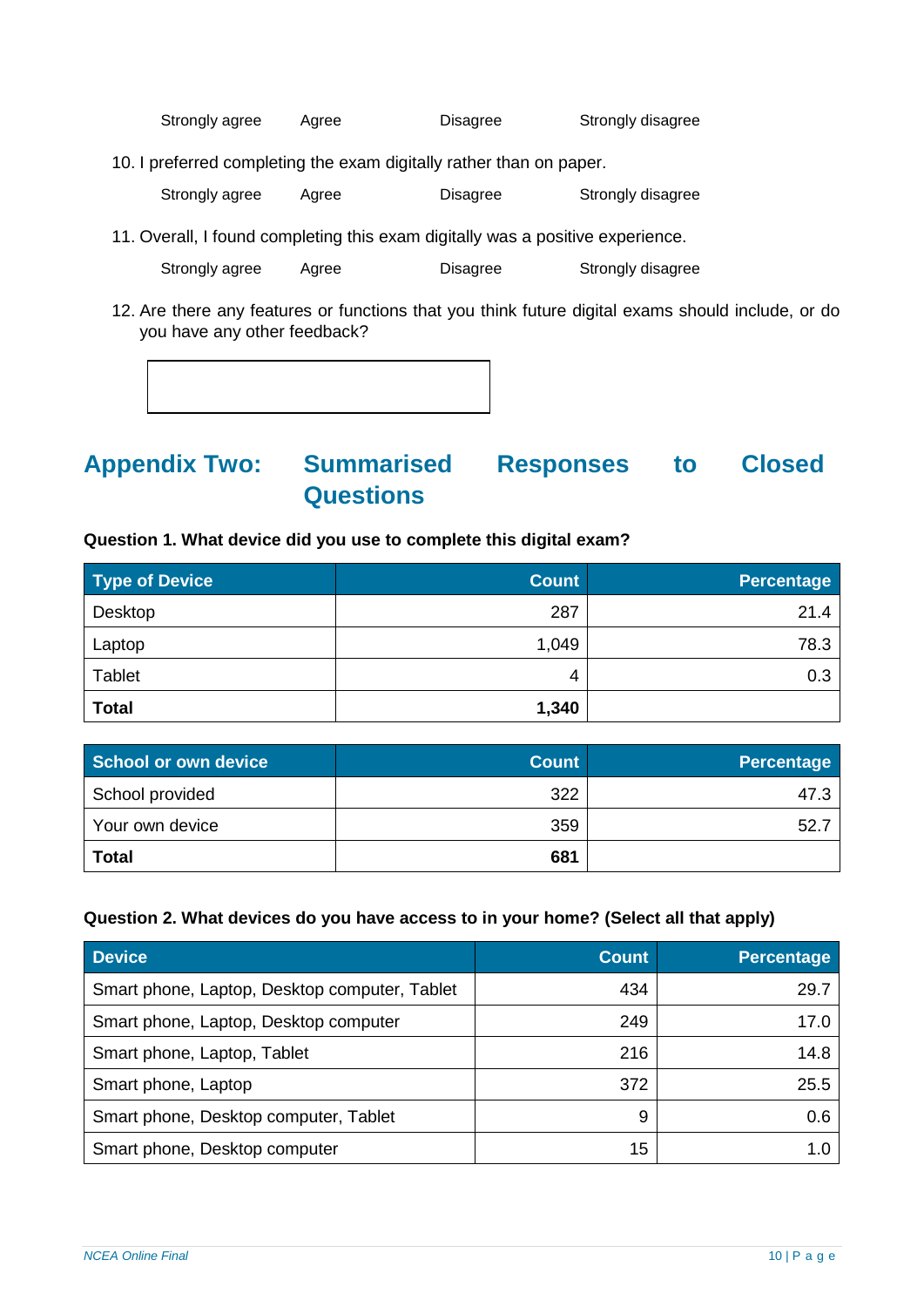Strongly agree Agree Disagree Strongly disagree

10. I preferred completing the exam digitally rather than on paper.

Strongly agree Agree Disagree Strongly disagree

11. Overall, I found completing this exam digitally was a positive experience.

Strongly agree Agree Disagree Strongly disagree

12. Are there any features or functions that you think future digital exams should include, or do you have any other feedback?

<span id="page-9-0"></span>

#### **Question 1. What device did you use to complete this digital exam?**

| <b>Type of Device</b> | <b>Count</b> | <b>Percentage</b> |
|-----------------------|--------------|-------------------|
| Desktop               | 287          | 21.4              |
| Laptop                | 1,049        | 78.3              |
| <b>Tablet</b>         | 4            | 0.3               |
| <b>Total</b>          | 1,340        |                   |

| School or own device | <b>Count</b> | <b>Percentage</b> |
|----------------------|--------------|-------------------|
| School provided      | 322          | 47.3              |
| Your own device      | 359          | 52.               |
| <b>Total</b>         | 681          |                   |

#### **Question 2. What devices do you have access to in your home? (Select all that apply)**

| <b>Device</b>                                 | <b>Count</b> | Percentage |
|-----------------------------------------------|--------------|------------|
| Smart phone, Laptop, Desktop computer, Tablet | 434          | 29.7       |
| Smart phone, Laptop, Desktop computer         | 249          | 17.0       |
| Smart phone, Laptop, Tablet                   | 216          | 14.8       |
| Smart phone, Laptop                           | 372          | 25.5       |
| Smart phone, Desktop computer, Tablet         | 9            | 0.6        |
| Smart phone, Desktop computer                 | 15           | 1.0        |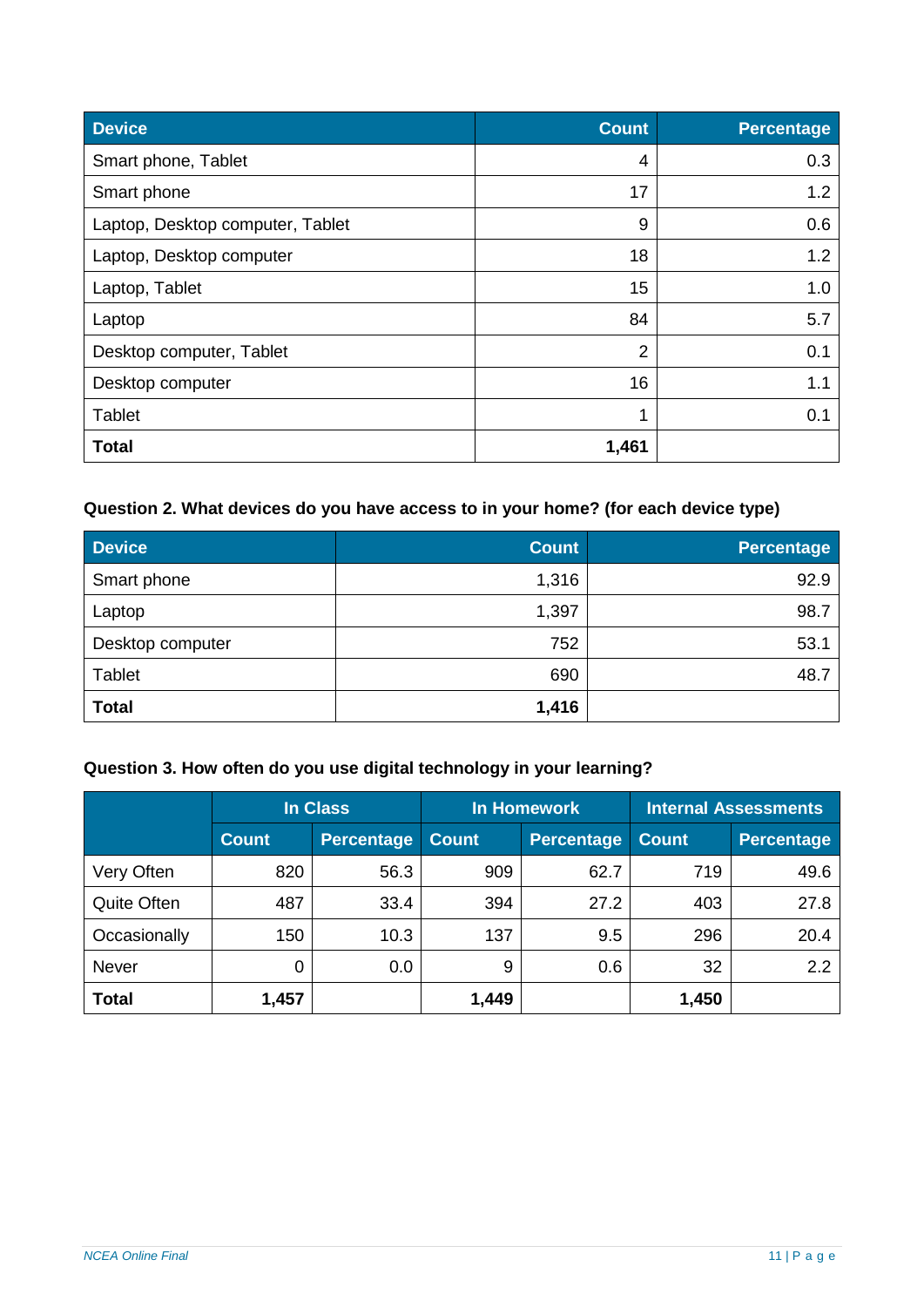| <b>Device</b>                    | <b>Count</b>   | <b>Percentage</b> |
|----------------------------------|----------------|-------------------|
| Smart phone, Tablet              | 4              | 0.3               |
| Smart phone                      | 17             | 1.2               |
| Laptop, Desktop computer, Tablet | 9              | 0.6               |
| Laptop, Desktop computer         | 18             | 1.2               |
| Laptop, Tablet                   | 15             | 1.0               |
| Laptop                           | 84             | 5.7               |
| Desktop computer, Tablet         | $\overline{2}$ | 0.1               |
| Desktop computer                 | 16             | 1.1               |
| <b>Tablet</b>                    | 4              | 0.1               |
| <b>Total</b>                     | 1,461          |                   |

## **Question 2. What devices do you have access to in your home? (for each device type)**

| <b>Device</b>    | <b>Count</b> | <b>Percentage</b> |
|------------------|--------------|-------------------|
| Smart phone      | 1,316        | 92.9              |
| Laptop           | 1,397        | 98.7              |
| Desktop computer | 752          | 53.1              |
| Tablet           | 690          | 48.7              |
| <b>Total</b>     | 1,416        |                   |

## **Question 3. How often do you use digital technology in your learning?**

|              | <b>In Class</b> |                   | <b>In Homework</b> |                   | <b>Internal Assessments</b> |                   |
|--------------|-----------------|-------------------|--------------------|-------------------|-----------------------------|-------------------|
|              | <b>Count</b>    | <b>Percentage</b> | <b>Count</b>       | <b>Percentage</b> | <b>Count</b>                | <b>Percentage</b> |
| Very Often   | 820             | 56.3              | 909                | 62.7              | 719                         | 49.6              |
| Quite Often  | 487             | 33.4              | 394                | 27.2              | 403                         | 27.8              |
| Occasionally | 150             | 10.3              | 137                | 9.5               | 296                         | 20.4              |
| <b>Never</b> | 0               | 0.0               | 9                  | 0.6               | 32                          | 2.2               |
| <b>Total</b> | 1,457           |                   | 1,449              |                   | 1,450                       |                   |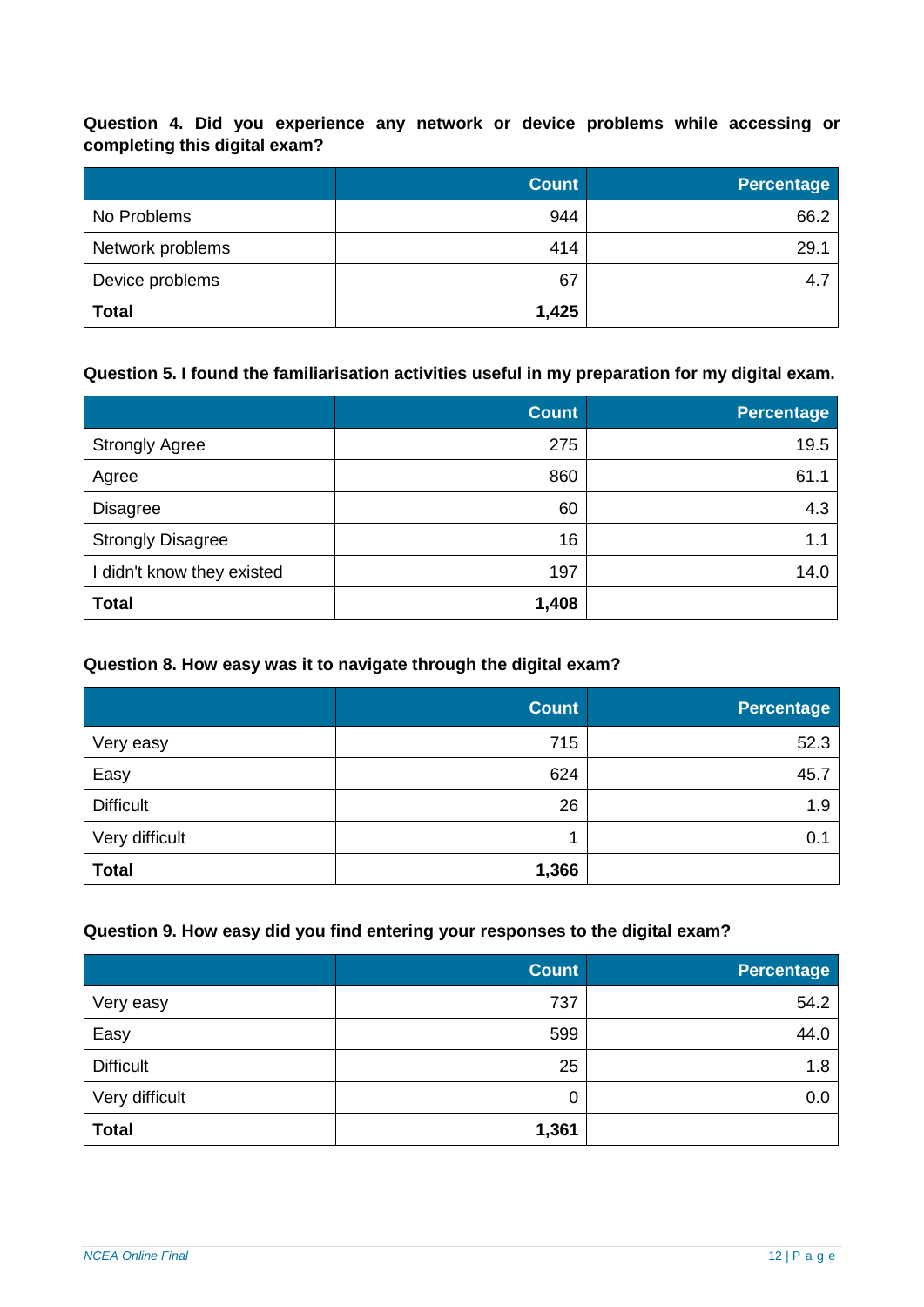**Question 4. Did you experience any network or device problems while accessing or completing this digital exam?**

|                  | <b>Count</b> | <b>Percentage</b> |
|------------------|--------------|-------------------|
| No Problems      | 944          | 66.2              |
| Network problems | 414          | 29.1              |
| Device problems  | 67           | 4.7               |
| <b>Total</b>     | 1,425        |                   |

#### **Question 5. I found the familiarisation activities useful in my preparation for my digital exam.**

|                            | <b>Count</b> | <b>Percentage</b> |
|----------------------------|--------------|-------------------|
| <b>Strongly Agree</b>      | 275          | 19.5              |
| Agree                      | 860          | 61.1              |
| <b>Disagree</b>            | 60           | 4.3               |
| <b>Strongly Disagree</b>   | 16           | 1.1               |
| I didn't know they existed | 197          | 14.0              |
| <b>Total</b>               | 1,408        |                   |

#### **Question 8. How easy was it to navigate through the digital exam?**

|                  | <b>Count</b> | <b>Percentage</b> |
|------------------|--------------|-------------------|
| Very easy        | 715          | 52.3              |
| Easy             | 624          | 45.7              |
| <b>Difficult</b> | 26           | 1.9               |
| Very difficult   |              | 0.1               |
| <b>Total</b>     | 1,366        |                   |

#### **Question 9. How easy did you find entering your responses to the digital exam?**

|                  | <b>Count</b> | <b>Percentage</b> |
|------------------|--------------|-------------------|
| Very easy        | 737          | 54.2              |
| Easy             | 599          | 44.0              |
| <b>Difficult</b> | 25           | 1.8               |
| Very difficult   | 0            | 0.0               |
| <b>Total</b>     | 1,361        |                   |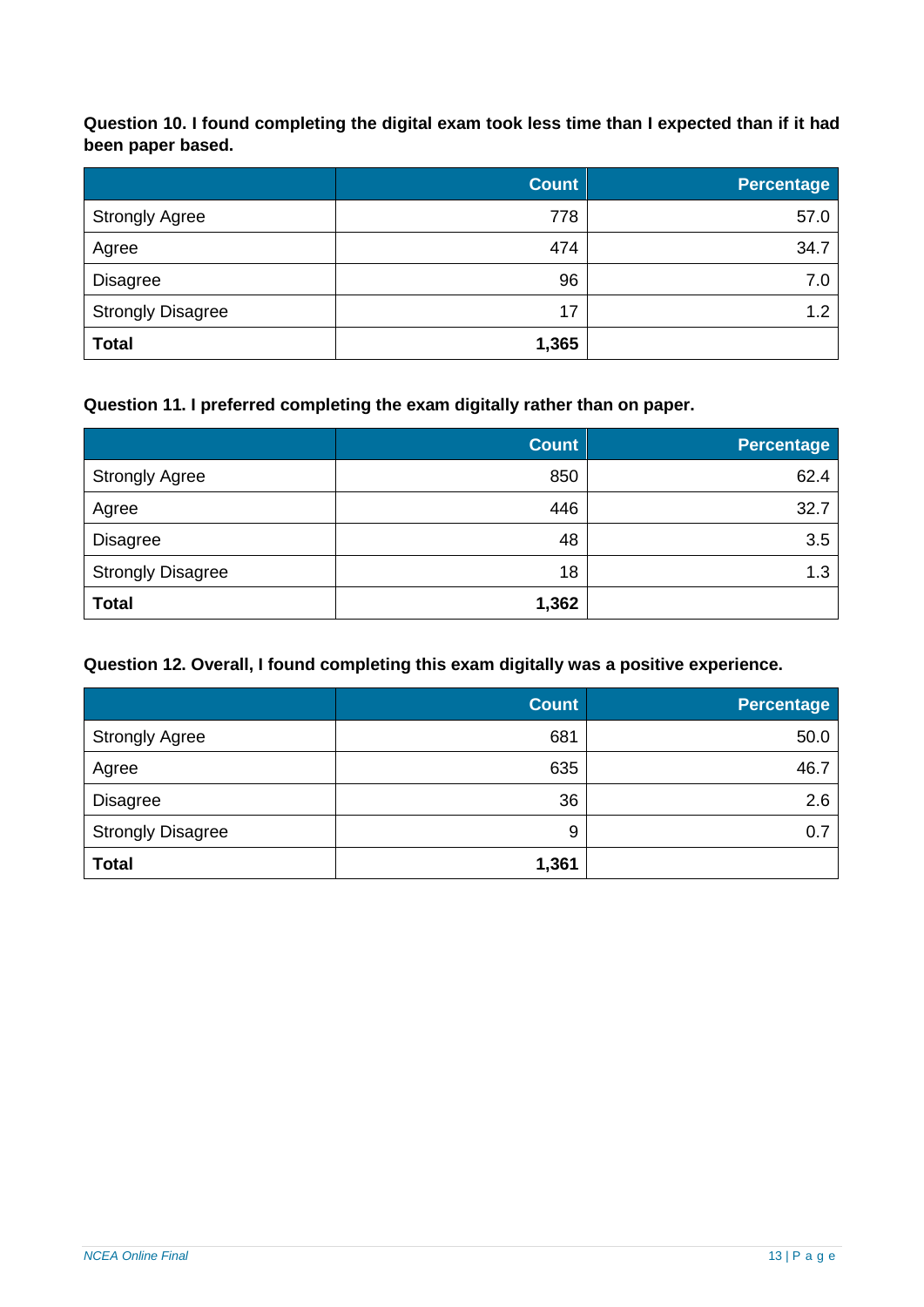**Question 10. I found completing the digital exam took less time than I expected than if it had been paper based.**

|                          | <b>Count</b> | Percentage |
|--------------------------|--------------|------------|
| <b>Strongly Agree</b>    | 778          | 57.0       |
| Agree                    | 474          | 34.7       |
| Disagree                 | 96           | 7.0        |
| <b>Strongly Disagree</b> | 17           | 1.2        |
| <b>Total</b>             | 1,365        |            |

#### **Question 11. I preferred completing the exam digitally rather than on paper.**

|                          | <b>Count</b> | <b>Percentage</b> |
|--------------------------|--------------|-------------------|
| <b>Strongly Agree</b>    | 850          | 62.4              |
| Agree                    | 446          | 32.7              |
| <b>Disagree</b>          | 48           | 3.5               |
| <b>Strongly Disagree</b> | 18           | 1.3               |
| <b>Total</b>             | 1,362        |                   |

#### **Question 12. Overall, I found completing this exam digitally was a positive experience.**

|                          | <b>Count</b> | <b>Percentage</b> |
|--------------------------|--------------|-------------------|
| <b>Strongly Agree</b>    | 681          | 50.0              |
| Agree                    | 635          | 46.7              |
| <b>Disagree</b>          | 36           | 2.6               |
| <b>Strongly Disagree</b> | 9            | 0.7               |
| <b>Total</b>             | 1,361        |                   |